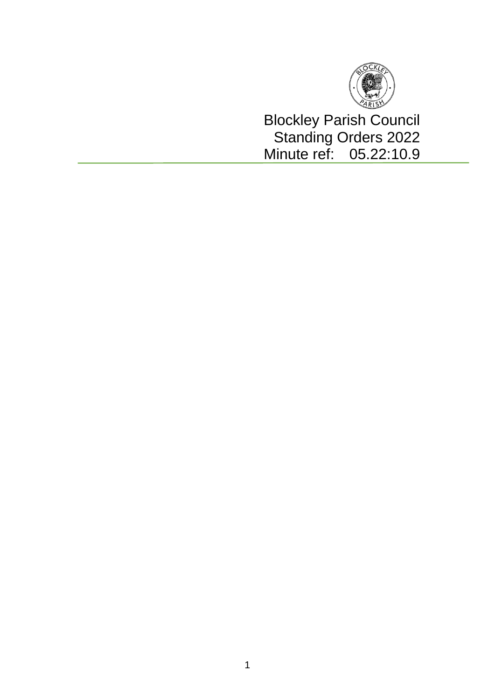

Blockley Parish Council Standing Orders 2022 Minute ref: 05.22:10.9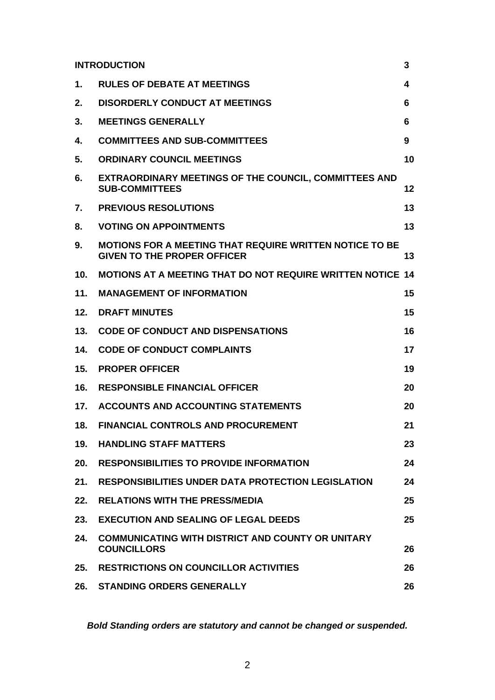| <b>INTRODUCTION</b> |                                                                                                      | 3  |
|---------------------|------------------------------------------------------------------------------------------------------|----|
| 1.                  | <b>RULES OF DEBATE AT MEETINGS</b>                                                                   | 4  |
| 2.                  | <b>DISORDERLY CONDUCT AT MEETINGS</b>                                                                | 6  |
| 3.                  | <b>MEETINGS GENERALLY</b>                                                                            | 6  |
| 4.                  | <b>COMMITTEES AND SUB-COMMITTEES</b>                                                                 | 9  |
| 5.                  | <b>ORDINARY COUNCIL MEETINGS</b>                                                                     | 10 |
| 6.                  | <b>EXTRAORDINARY MEETINGS OF THE COUNCIL, COMMITTEES AND</b><br><b>SUB-COMMITTEES</b>                | 12 |
| 7.                  | <b>PREVIOUS RESOLUTIONS</b>                                                                          | 13 |
| 8.                  | <b>VOTING ON APPOINTMENTS</b>                                                                        | 13 |
| 9.                  | <b>MOTIONS FOR A MEETING THAT REQUIRE WRITTEN NOTICE TO BE</b><br><b>GIVEN TO THE PROPER OFFICER</b> | 13 |
| 10.                 | <b>MOTIONS AT A MEETING THAT DO NOT REQUIRE WRITTEN NOTICE 14</b>                                    |    |
| 11.                 | <b>MANAGEMENT OF INFORMATION</b>                                                                     | 15 |
| 12.                 | <b>DRAFT MINUTES</b>                                                                                 | 15 |
| 13.                 | <b>CODE OF CONDUCT AND DISPENSATIONS</b>                                                             | 16 |
| 14.                 | <b>CODE OF CONDUCT COMPLAINTS</b>                                                                    | 17 |
| 15.                 | <b>PROPER OFFICER</b>                                                                                | 19 |
| 16.                 | <b>RESPONSIBLE FINANCIAL OFFICER</b>                                                                 | 20 |
| 17.                 | <b>ACCOUNTS AND ACCOUNTING STATEMENTS</b>                                                            | 20 |
| 18.                 | <b>FINANCIAL CONTROLS AND PROCUREMENT</b>                                                            | 21 |
| 19.                 | <b>HANDLING STAFF MATTERS</b>                                                                        | 23 |
| 20.                 | <b>RESPONSIBILITIES TO PROVIDE INFORMATION</b>                                                       | 24 |
| 21.                 | <b>RESPONSIBILITIES UNDER DATA PROTECTION LEGISLATION</b>                                            | 24 |
| 22.                 | <b>RELATIONS WITH THE PRESS/MEDIA</b>                                                                | 25 |
| 23.                 | <b>EXECUTION AND SEALING OF LEGAL DEEDS</b>                                                          | 25 |
| 24.                 | <b>COMMUNICATING WITH DISTRICT AND COUNTY OR UNITARY</b><br><b>COUNCILLORS</b>                       | 26 |
| 25.                 | <b>RESTRICTIONS ON COUNCILLOR ACTIVITIES</b>                                                         | 26 |
| 26.                 | <b>STANDING ORDERS GENERALLY</b>                                                                     | 26 |

*Bold Standing orders are statutory and cannot be changed or suspended.*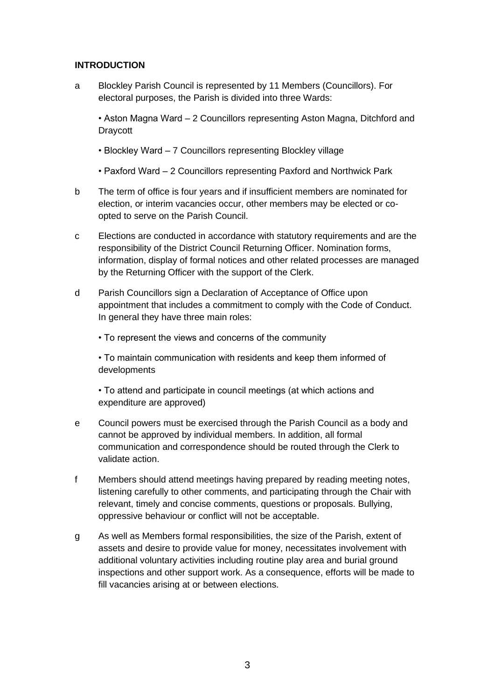### **INTRODUCTION**

a Blockley Parish Council is represented by 11 Members (Councillors). For electoral purposes, the Parish is divided into three Wards:

• Aston Magna Ward – 2 Councillors representing Aston Magna, Ditchford and **Draycott** 

- Blockley Ward 7 Councillors representing Blockley village
- Paxford Ward 2 Councillors representing Paxford and Northwick Park
- b The term of office is four years and if insufficient members are nominated for election, or interim vacancies occur, other members may be elected or coopted to serve on the Parish Council.
- c Elections are conducted in accordance with statutory requirements and are the responsibility of the District Council Returning Officer. Nomination forms, information, display of formal notices and other related processes are managed by the Returning Officer with the support of the Clerk.
- d Parish Councillors sign a Declaration of Acceptance of Office upon appointment that includes a commitment to comply with the Code of Conduct. In general they have three main roles:
	- To represent the views and concerns of the community

• To maintain communication with residents and keep them informed of developments

• To attend and participate in council meetings (at which actions and expenditure are approved)

- e Council powers must be exercised through the Parish Council as a body and cannot be approved by individual members. In addition, all formal communication and correspondence should be routed through the Clerk to validate action.
- f Members should attend meetings having prepared by reading meeting notes, listening carefully to other comments, and participating through the Chair with relevant, timely and concise comments, questions or proposals. Bullying, oppressive behaviour or conflict will not be acceptable.
- g As well as Members formal responsibilities, the size of the Parish, extent of assets and desire to provide value for money, necessitates involvement with additional voluntary activities including routine play area and burial ground inspections and other support work. As a consequence, efforts will be made to fill vacancies arising at or between elections.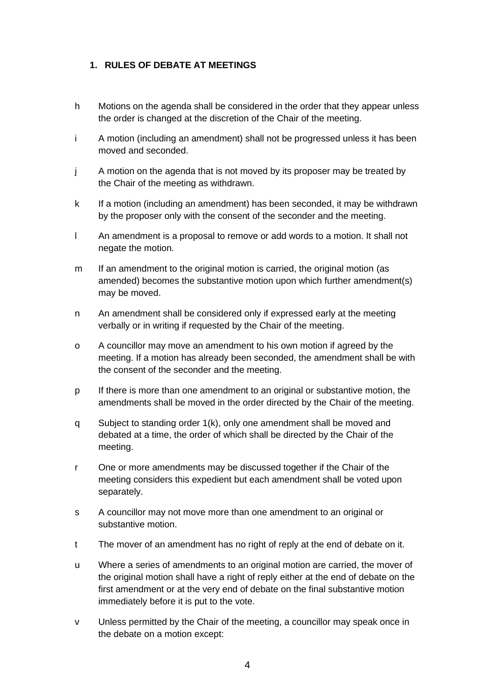## **1. RULES OF DEBATE AT MEETINGS**

- h Motions on the agenda shall be considered in the order that they appear unless the order is changed at the discretion of the Chair of the meeting.
- i A motion (including an amendment) shall not be progressed unless it has been moved and seconded.
- j A motion on the agenda that is not moved by its proposer may be treated by the Chair of the meeting as withdrawn.
- k If a motion (including an amendment) has been seconded, it may be withdrawn by the proposer only with the consent of the seconder and the meeting.
- l An amendment is a proposal to remove or add words to a motion. It shall not negate the motion.
- m If an amendment to the original motion is carried, the original motion (as amended) becomes the substantive motion upon which further amendment(s) may be moved.
- n An amendment shall be considered only if expressed early at the meeting verbally or in writing if requested by the Chair of the meeting.
- o A councillor may move an amendment to his own motion if agreed by the meeting. If a motion has already been seconded, the amendment shall be with the consent of the seconder and the meeting.
- p If there is more than one amendment to an original or substantive motion, the amendments shall be moved in the order directed by the Chair of the meeting.
- q Subject to standing order 1(k), only one amendment shall be moved and debated at a time, the order of which shall be directed by the Chair of the meeting.
- r One or more amendments may be discussed together if the Chair of the meeting considers this expedient but each amendment shall be voted upon separately.
- s A councillor may not move more than one amendment to an original or substantive motion.
- t The mover of an amendment has no right of reply at the end of debate on it.
- u Where a series of amendments to an original motion are carried, the mover of the original motion shall have a right of reply either at the end of debate on the first amendment or at the very end of debate on the final substantive motion immediately before it is put to the vote.
- v Unless permitted by the Chair of the meeting, a councillor may speak once in the debate on a motion except: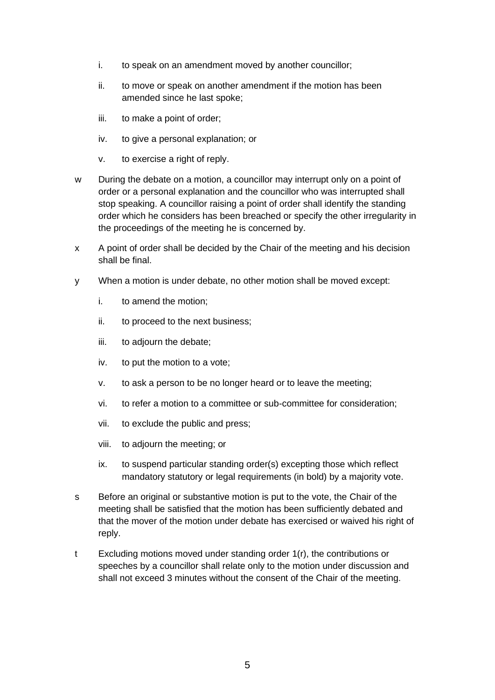- i. to speak on an amendment moved by another councillor;
- ii. to move or speak on another amendment if the motion has been amended since he last spoke;
- iii. to make a point of order;
- iv. to give a personal explanation; or
- v. to exercise a right of reply.
- w During the debate on a motion, a councillor may interrupt only on a point of order or a personal explanation and the councillor who was interrupted shall stop speaking. A councillor raising a point of order shall identify the standing order which he considers has been breached or specify the other irregularity in the proceedings of the meeting he is concerned by.
- x A point of order shall be decided by the Chair of the meeting and his decision shall be final.
- y When a motion is under debate, no other motion shall be moved except:
	- i. to amend the motion;
	- ii. to proceed to the next business;
	- iii. to adjourn the debate;
	- iv. to put the motion to a vote;
	- v. to ask a person to be no longer heard or to leave the meeting;
	- vi. to refer a motion to a committee or sub-committee for consideration;
	- vii. to exclude the public and press;
	- viii. to adjourn the meeting; or
	- ix. to suspend particular standing order(s) excepting those which reflect mandatory statutory or legal requirements (in bold) by a majority vote.
- s Before an original or substantive motion is put to the vote, the Chair of the meeting shall be satisfied that the motion has been sufficiently debated and that the mover of the motion under debate has exercised or waived his right of reply.
- t Excluding motions moved under standing order 1(r), the contributions or speeches by a councillor shall relate only to the motion under discussion and shall not exceed 3 minutes without the consent of the Chair of the meeting.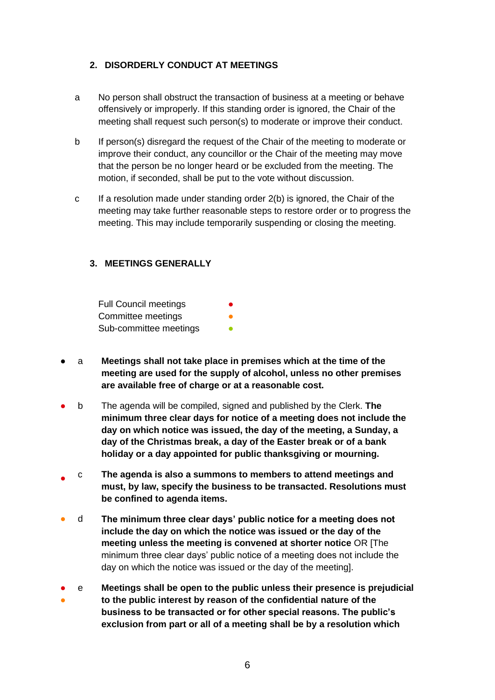## **2. DISORDERLY CONDUCT AT MEETINGS**

- a No person shall obstruct the transaction of business at a meeting or behave offensively or improperly. If this standing order is ignored, the Chair of the meeting shall request such person(s) to moderate or improve their conduct.
- b If person(s) disregard the request of the Chair of the meeting to moderate or improve their conduct, any councillor or the Chair of the meeting may move that the person be no longer heard or be excluded from the meeting. The motion, if seconded, shall be put to the vote without discussion.
- c If a resolution made under standing order 2(b) is ignored, the Chair of the meeting may take further reasonable steps to restore order or to progress the meeting. This may include temporarily suspending or closing the meeting.

## **3. MEETINGS GENERALLY**

Full Council meetings Committee meetings Sub-committee meetings

- a **Meetings shall not take place in premises which at the time of the meeting are used for the supply of alcohol, unless no other premises are available free of charge or at a reasonable cost.**
- b The agenda will be compiled, signed and published by the Clerk. **The minimum three clear days for notice of a meeting does not include the day on which notice was issued, the day of the meeting, a Sunday, a day of the Christmas break, a day of the Easter break or of a bank holiday or a day appointed for public thanksgiving or mourning.**
- c **The agenda is also a summons to members to attend meetings and must, by law, specify the business to be transacted. Resolutions must be confined to agenda items.**
- d **The minimum three clear days' public notice for a meeting does not include the day on which the notice was issued or the day of the meeting unless the meeting is convened at shorter notice** OR [The minimum three clear days' public notice of a meeting does not include the day on which the notice was issued or the day of the meeting].
- ● e **Meetings shall be open to the public unless their presence is prejudicial to the public interest by reason of the confidential nature of the business to be transacted or for other special reasons. The public's exclusion from part or all of a meeting shall be by a resolution which**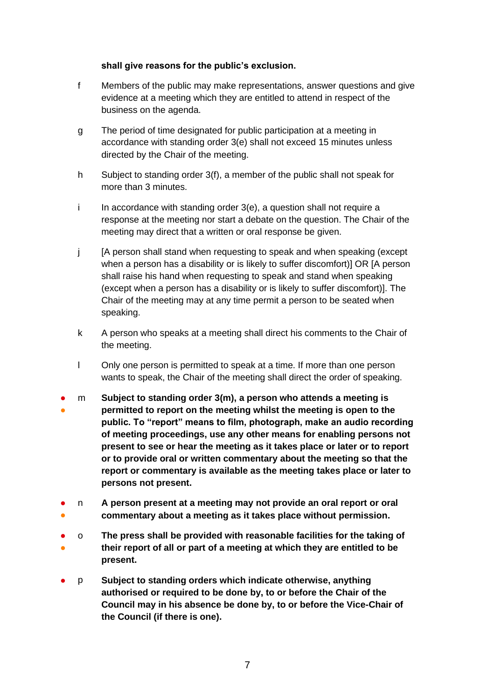#### **shall give reasons for the public's exclusion.**

- f Members of the public may make representations, answer questions and give evidence at a meeting which they are entitled to attend in respect of the business on the agenda.
- g The period of time designated for public participation at a meeting in accordance with standing order 3(e) shall not exceed 15 minutes unless directed by the Chair of the meeting.
- h Subject to standing order 3(f), a member of the public shall not speak for more than 3 minutes.
- $i$  In accordance with standing order  $3(e)$ , a question shall not require a response at the meeting nor start a debate on the question. The Chair of the meeting may direct that a written or oral response be given.
- j [A person shall stand when requesting to speak and when speaking (except when a person has a disability or is likely to suffer discomfort)] OR [A person shall raise his hand when requesting to speak and stand when speaking (except when a person has a disability or is likely to suffer discomfort)]. The Chair of the meeting may at any time permit a person to be seated when speaking.
- k A person who speaks at a meeting shall direct his comments to the Chair of the meeting.
- l Only one person is permitted to speak at a time. If more than one person wants to speak, the Chair of the meeting shall direct the order of speaking.
- ● m **Subject to standing order 3(m), a person who attends a meeting is permitted to report on the meeting whilst the meeting is open to the public. To "report" means to film, photograph, make an audio recording of meeting proceedings, use any other means for enabling persons not present to see or hear the meeting as it takes place or later or to report or to provide oral or written commentary about the meeting so that the report or commentary is available as the meeting takes place or later to persons not present.**
- ● n **A person present at a meeting may not provide an oral report or oral commentary about a meeting as it takes place without permission.**
- ● o **The press shall be provided with reasonable facilities for the taking of their report of all or part of a meeting at which they are entitled to be present.**
- p **Subject to standing orders which indicate otherwise, anything authorised or required to be done by, to or before the Chair of the Council may in his absence be done by, to or before the Vice-Chair of the Council (if there is one).**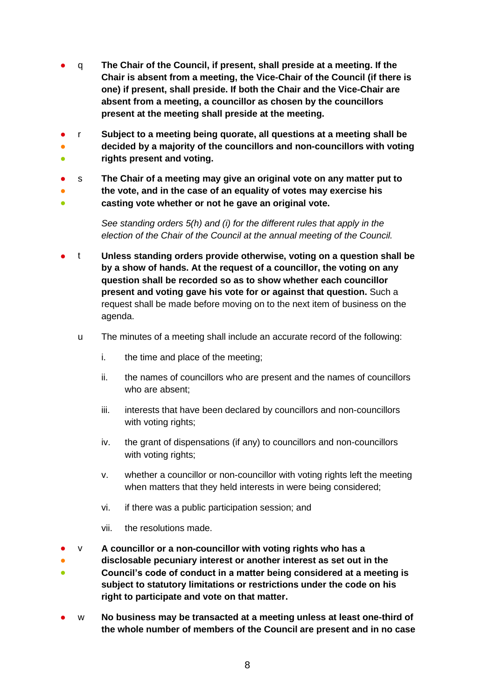- q **The Chair of the Council, if present, shall preside at a meeting. If the Chair is absent from a meeting, the Vice-Chair of the Council (if there is one) if present, shall preside. If both the Chair and the Vice-Chair are absent from a meeting, a councillor as chosen by the councillors present at the meeting shall preside at the meeting.**
- ● ● r **Subject to a meeting being quorate, all questions at a meeting shall be decided by a majority of the councillors and non-councillors with voting rights present and voting.**
- s **The Chair of a meeting may give an original vote on any matter put to**
- **the vote, and in the case of an equality of votes may exercise his**
- 。<br>● **casting vote whether or not he gave an original vote.**

*See standing orders 5(h) and (i) for the different rules that apply in the election of the Chair of the Council at the annual meeting of the Council.*

- t **Unless standing orders provide otherwise, voting on a question shall be by a show of hands. At the request of a councillor, the voting on any question shall be recorded so as to show whether each councillor present and voting gave his vote for or against that question.** Such a request shall be made before moving on to the next item of business on the agenda.
	- u The minutes of a meeting shall include an accurate record of the following:
		- i. the time and place of the meeting;
		- ii. the names of councillors who are present and the names of councillors who are absent;
		- iii. interests that have been declared by councillors and non-councillors with voting rights;
		- iv. the grant of dispensations (if any) to councillors and non-councillors with voting rights;
		- v. whether a councillor or non-councillor with voting rights left the meeting when matters that they held interests in were being considered;
		- vi. if there was a public participation session; and
		- vii. the resolutions made.
- v **A councillor or a non-councillor with voting rights who has a**
- ● **disclosable pecuniary interest or another interest as set out in the Council's code of conduct in a matter being considered at a meeting is subject to statutory limitations or restrictions under the code on his right to participate and vote on that matter.**
- w **No business may be transacted at a meeting unless at least one-third of the whole number of members of the Council are present and in no case**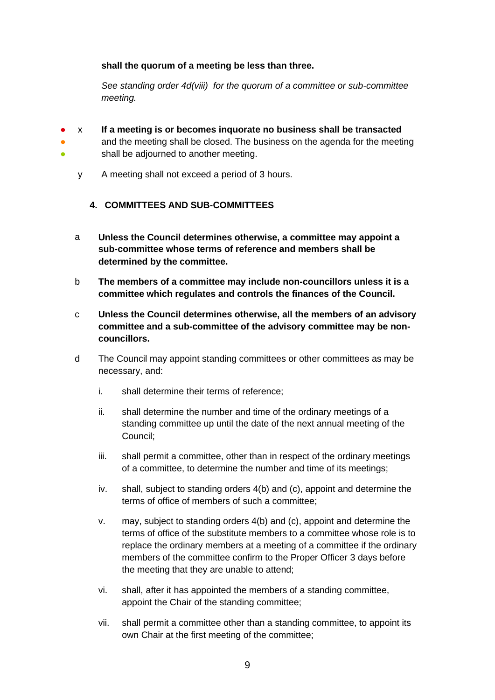### **shall the quorum of a meeting be less than three.**

*See standing order 4d(viii) for the quorum of a committee or sub-committee meeting.* 

- ● x **If a meeting is or becomes inquorate no business shall be transacted**
	- and the meeting shall be closed. The business on the agenda for the meeting shall be adjourned to another meeting.
	- y A meeting shall not exceed a period of 3 hours.

●

# **4. COMMITTEES AND SUB-COMMITTEES**

- a **Unless the Council determines otherwise, a committee may appoint a sub-committee whose terms of reference and members shall be determined by the committee.**
- b **The members of a committee may include non-councillors unless it is a committee which regulates and controls the finances of the Council.**
- c **Unless the Council determines otherwise, all the members of an advisory committee and a sub-committee of the advisory committee may be noncouncillors.**
- d The Council may appoint standing committees or other committees as may be necessary, and:
	- i. shall determine their terms of reference;
	- ii. shall determine the number and time of the ordinary meetings of a standing committee up until the date of the next annual meeting of the Council;
	- iii. shall permit a committee, other than in respect of the ordinary meetings of a committee, to determine the number and time of its meetings;
	- iv. shall, subject to standing orders 4(b) and (c), appoint and determine the terms of office of members of such a committee;
	- v. may, subject to standing orders 4(b) and (c), appoint and determine the terms of office of the substitute members to a committee whose role is to replace the ordinary members at a meeting of a committee if the ordinary members of the committee confirm to the Proper Officer 3 days before the meeting that they are unable to attend;
	- vi. shall, after it has appointed the members of a standing committee, appoint the Chair of the standing committee;
	- vii. shall permit a committee other than a standing committee, to appoint its own Chair at the first meeting of the committee;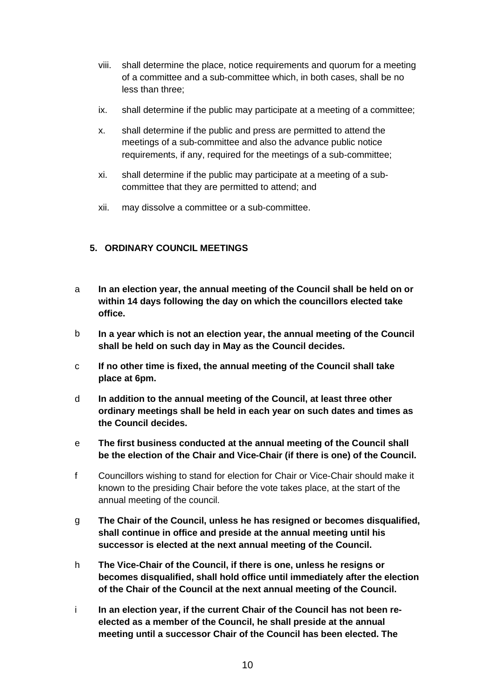- viii. shall determine the place, notice requirements and quorum for a meeting of a committee and a sub-committee which, in both cases, shall be no less than three;
- ix. shall determine if the public may participate at a meeting of a committee;
- x. shall determine if the public and press are permitted to attend the meetings of a sub-committee and also the advance public notice requirements, if any, required for the meetings of a sub-committee;
- xi. shall determine if the public may participate at a meeting of a subcommittee that they are permitted to attend; and
- xii. may dissolve a committee or a sub-committee.

# **5. ORDINARY COUNCIL MEETINGS**

- a **In an election year, the annual meeting of the Council shall be held on or within 14 days following the day on which the councillors elected take office.**
- b **In a year which is not an election year, the annual meeting of the Council shall be held on such day in May as the Council decides.**
- c **If no other time is fixed, the annual meeting of the Council shall take place at 6pm.**
- d **In addition to the annual meeting of the Council, at least three other ordinary meetings shall be held in each year on such dates and times as the Council decides.**
- e **The first business conducted at the annual meeting of the Council shall be the election of the Chair and Vice-Chair (if there is one) of the Council.**
- f Councillors wishing to stand for election for Chair or Vice-Chair should make it known to the presiding Chair before the vote takes place, at the start of the annual meeting of the council.
- g **The Chair of the Council, unless he has resigned or becomes disqualified, shall continue in office and preside at the annual meeting until his successor is elected at the next annual meeting of the Council.**
- h **The Vice-Chair of the Council, if there is one, unless he resigns or becomes disqualified, shall hold office until immediately after the election of the Chair of the Council at the next annual meeting of the Council.**
- i **In an election year, if the current Chair of the Council has not been reelected as a member of the Council, he shall preside at the annual meeting until a successor Chair of the Council has been elected. The**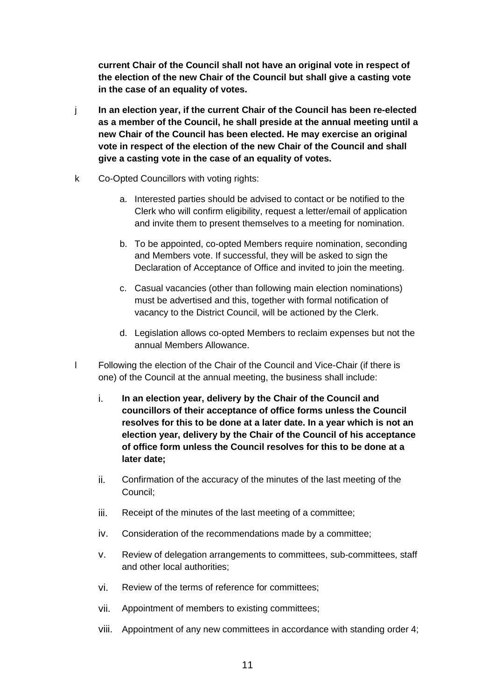**current Chair of the Council shall not have an original vote in respect of the election of the new Chair of the Council but shall give a casting vote in the case of an equality of votes.**

- j **In an election year, if the current Chair of the Council has been re-elected as a member of the Council, he shall preside at the annual meeting until a new Chair of the Council has been elected. He may exercise an original vote in respect of the election of the new Chair of the Council and shall give a casting vote in the case of an equality of votes.**
- k Co-Opted Councillors with voting rights:
	- a. Interested parties should be advised to contact or be notified to the Clerk who will confirm eligibility, request a letter/email of application and invite them to present themselves to a meeting for nomination.
	- b. To be appointed, co-opted Members require nomination, seconding and Members vote. If successful, they will be asked to sign the Declaration of Acceptance of Office and invited to join the meeting.
	- c. Casual vacancies (other than following main election nominations) must be advertised and this, together with formal notification of vacancy to the District Council, will be actioned by the Clerk.
	- d. Legislation allows co-opted Members to reclaim expenses but not the annual Members Allowance.
- l Following the election of the Chair of the Council and Vice-Chair (if there is one) of the Council at the annual meeting, the business shall include:
	- i. **In an election year, delivery by the Chair of the Council and councillors of their acceptance of office forms unless the Council resolves for this to be done at a later date. In a year which is not an election year, delivery by the Chair of the Council of his acceptance of office form unless the Council resolves for this to be done at a later date;**
	- ii. Confirmation of the accuracy of the minutes of the last meeting of the Council;
	- iii. Receipt of the minutes of the last meeting of a committee;
	- iv. Consideration of the recommendations made by a committee;
	- v. Review of delegation arrangements to committees, sub-committees, staff and other local authorities;
	- vi. Review of the terms of reference for committees;
	- vii. Appointment of members to existing committees;
	- viii. Appointment of any new committees in accordance with standing order 4;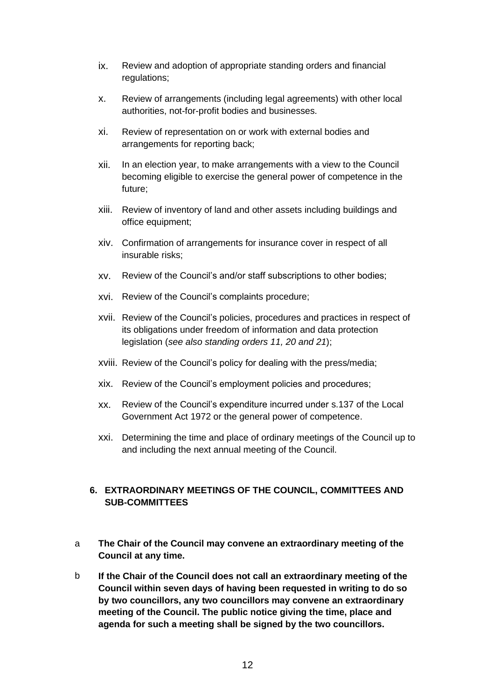- ix. Review and adoption of appropriate standing orders and financial regulations;
- x. Review of arrangements (including legal agreements) with other local authorities, not-for-profit bodies and businesses.
- xi. Review of representation on or work with external bodies and arrangements for reporting back;
- xii. In an election year, to make arrangements with a view to the Council becoming eligible to exercise the general power of competence in the future;
- xiii. Review of inventory of land and other assets including buildings and office equipment;
- xiv. Confirmation of arrangements for insurance cover in respect of all insurable risks;
- xv. Review of the Council's and/or staff subscriptions to other bodies;
- xvi. Review of the Council's complaints procedure;
- xvii. Review of the Council's policies, procedures and practices in respect of its obligations under freedom of information and data protection legislation (*see also standing orders 11, 20 and 21*);
- xviii. Review of the Council's policy for dealing with the press/media;
- xix. Review of the Council's employment policies and procedures;
- xx. Review of the Council's expenditure incurred under s.137 of the Local Government Act 1972 or the general power of competence.
- xxi. Determining the time and place of ordinary meetings of the Council up to and including the next annual meeting of the Council.

# **6. EXTRAORDINARY MEETINGS OF THE COUNCIL, COMMITTEES AND SUB-COMMITTEES**

- a **The Chair of the Council may convene an extraordinary meeting of the Council at any time.**
- b **If the Chair of the Council does not call an extraordinary meeting of the Council within seven days of having been requested in writing to do so by two councillors, any two councillors may convene an extraordinary meeting of the Council. The public notice giving the time, place and agenda for such a meeting shall be signed by the two councillors.**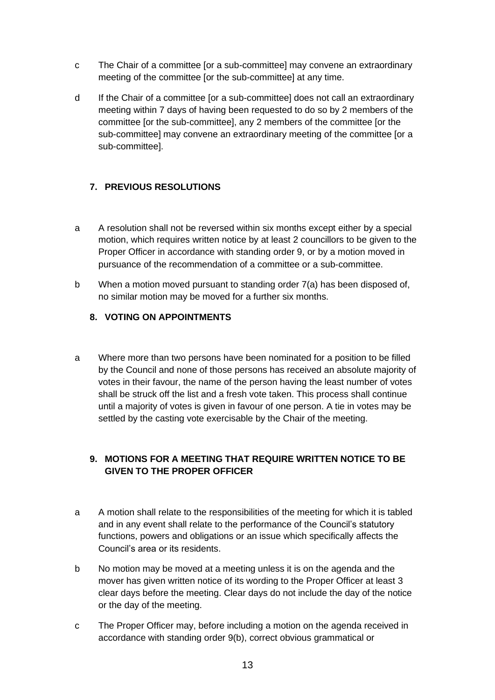- c The Chair of a committee [or a sub-committee] may convene an extraordinary meeting of the committee [or the sub-committee] at any time.
- d If the Chair of a committee [or a sub-committee] does not call an extraordinary meeting within 7 days of having been requested to do so by 2 members of the committee [or the sub-committee], any 2 members of the committee [or the sub-committee] may convene an extraordinary meeting of the committee [or a sub-committee].

# **7. PREVIOUS RESOLUTIONS**

- a A resolution shall not be reversed within six months except either by a special motion, which requires written notice by at least 2 councillors to be given to the Proper Officer in accordance with standing order 9, or by a motion moved in pursuance of the recommendation of a committee or a sub-committee.
- b When a motion moved pursuant to standing order 7(a) has been disposed of, no similar motion may be moved for a further six months.

# **8. VOTING ON APPOINTMENTS**

a Where more than two persons have been nominated for a position to be filled by the Council and none of those persons has received an absolute majority of votes in their favour, the name of the person having the least number of votes shall be struck off the list and a fresh vote taken. This process shall continue until a majority of votes is given in favour of one person. A tie in votes may be settled by the casting vote exercisable by the Chair of the meeting.

# **9. MOTIONS FOR A MEETING THAT REQUIRE WRITTEN NOTICE TO BE GIVEN TO THE PROPER OFFICER**

- a A motion shall relate to the responsibilities of the meeting for which it is tabled and in any event shall relate to the performance of the Council's statutory functions, powers and obligations or an issue which specifically affects the Council's area or its residents.
- b No motion may be moved at a meeting unless it is on the agenda and the mover has given written notice of its wording to the Proper Officer at least 3 clear days before the meeting. Clear days do not include the day of the notice or the day of the meeting.
- c The Proper Officer may, before including a motion on the agenda received in accordance with standing order 9(b), correct obvious grammatical or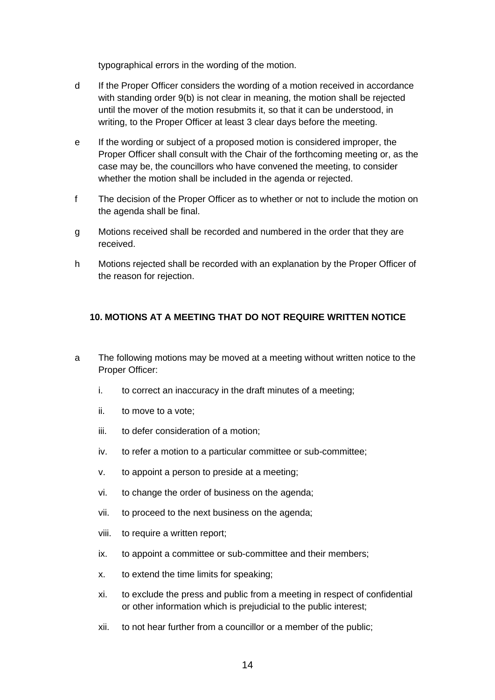typographical errors in the wording of the motion.

- d If the Proper Officer considers the wording of a motion received in accordance with standing order 9(b) is not clear in meaning, the motion shall be rejected until the mover of the motion resubmits it, so that it can be understood, in writing, to the Proper Officer at least 3 clear days before the meeting.
- e If the wording or subject of a proposed motion is considered improper, the Proper Officer shall consult with the Chair of the forthcoming meeting or, as the case may be, the councillors who have convened the meeting, to consider whether the motion shall be included in the agenda or rejected.
- f The decision of the Proper Officer as to whether or not to include the motion on the agenda shall be final.
- g Motions received shall be recorded and numbered in the order that they are received.
- h Motions rejected shall be recorded with an explanation by the Proper Officer of the reason for rejection.

# **10. MOTIONS AT A MEETING THAT DO NOT REQUIRE WRITTEN NOTICE**

- a The following motions may be moved at a meeting without written notice to the Proper Officer:
	- i. to correct an inaccuracy in the draft minutes of a meeting;
	- ii. to move to a vote;
	- iii. to defer consideration of a motion;
	- iv. to refer a motion to a particular committee or sub-committee;
	- v. to appoint a person to preside at a meeting;
	- vi. to change the order of business on the agenda;
	- vii. to proceed to the next business on the agenda;
	- viii. to require a written report;
	- ix. to appoint a committee or sub-committee and their members;
	- x. to extend the time limits for speaking;
	- xi. to exclude the press and public from a meeting in respect of confidential or other information which is prejudicial to the public interest;
	- xii. to not hear further from a councillor or a member of the public;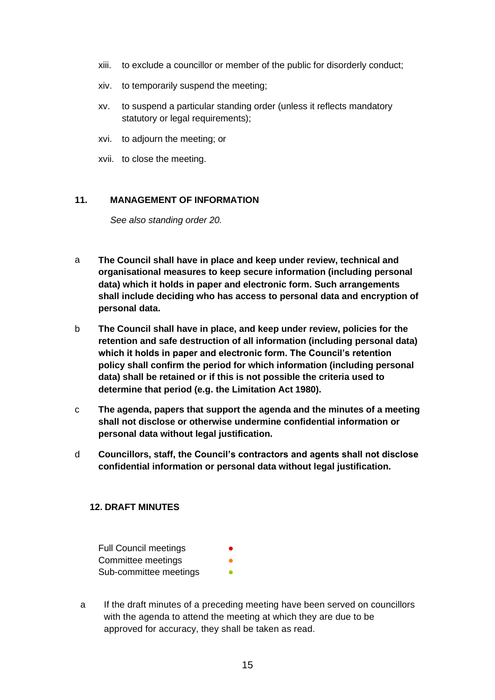- xiii. to exclude a councillor or member of the public for disorderly conduct;
- xiv. to temporarily suspend the meeting;
- xv. to suspend a particular standing order (unless it reflects mandatory statutory or legal requirements);
- xvi. to adjourn the meeting; or
- xvii. to close the meeting.

## **11. MANAGEMENT OF INFORMATION**

*See also standing order 20.*

- a **The Council shall have in place and keep under review, technical and organisational measures to keep secure information (including personal data) which it holds in paper and electronic form. Such arrangements shall include deciding who has access to personal data and encryption of personal data.**
- b **The Council shall have in place, and keep under review, policies for the retention and safe destruction of all information (including personal data) which it holds in paper and electronic form. The Council's retention policy shall confirm the period for which information (including personal data) shall be retained or if this is not possible the criteria used to determine that period (e.g. the Limitation Act 1980).**
- c **The agenda, papers that support the agenda and the minutes of a meeting shall not disclose or otherwise undermine confidential information or personal data without legal justification.**
- d **Councillors, staff, the Council's contractors and agents shall not disclose confidential information or personal data without legal justification.**

### **12. DRAFT MINUTES**

Full Council meetings Committee meetings Sub-committee meetings

a If the draft minutes of a preceding meeting have been served on councillors with the agenda to attend the meeting at which they are due to be approved for accuracy, they shall be taken as read.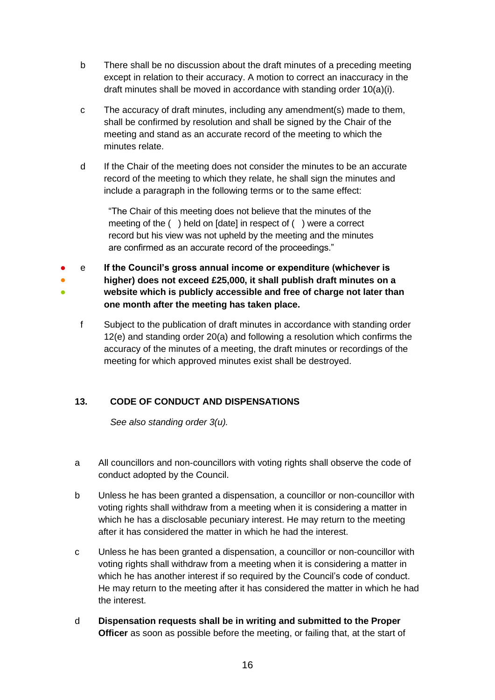- b There shall be no discussion about the draft minutes of a preceding meeting except in relation to their accuracy. A motion to correct an inaccuracy in the draft minutes shall be moved in accordance with standing order 10(a)(i).
- c The accuracy of draft minutes, including any amendment(s) made to them, shall be confirmed by resolution and shall be signed by the Chair of the meeting and stand as an accurate record of the meeting to which the minutes relate.
- d If the Chair of the meeting does not consider the minutes to be an accurate record of the meeting to which they relate, he shall sign the minutes and include a paragraph in the following terms or to the same effect:

"The Chair of this meeting does not believe that the minutes of the meeting of the ( ) held on [date] in respect of ( ) were a correct record but his view was not upheld by the meeting and the minutes are confirmed as an accurate record of the proceedings."

- ● ● e **If the Council's gross annual income or expenditure (whichever is higher) does not exceed £25,000, it shall publish draft minutes on a website which is publicly accessible and free of charge not later than one month after the meeting has taken place.**
	- f Subject to the publication of draft minutes in accordance with standing order 12(e) and standing order 20(a) and following a resolution which confirms the accuracy of the minutes of a meeting, the draft minutes or recordings of the meeting for which approved minutes exist shall be destroyed.

# **13. CODE OF CONDUCT AND DISPENSATIONS**

*See also standing order 3(u).*

- a All councillors and non-councillors with voting rights shall observe the code of conduct adopted by the Council.
- b Unless he has been granted a dispensation, a councillor or non-councillor with voting rights shall withdraw from a meeting when it is considering a matter in which he has a disclosable pecuniary interest. He may return to the meeting after it has considered the matter in which he had the interest.
- c Unless he has been granted a dispensation, a councillor or non-councillor with voting rights shall withdraw from a meeting when it is considering a matter in which he has another interest if so required by the Council's code of conduct. He may return to the meeting after it has considered the matter in which he had the interest.
- d **Dispensation requests shall be in writing and submitted to the Proper Officer** as soon as possible before the meeting, or failing that, at the start of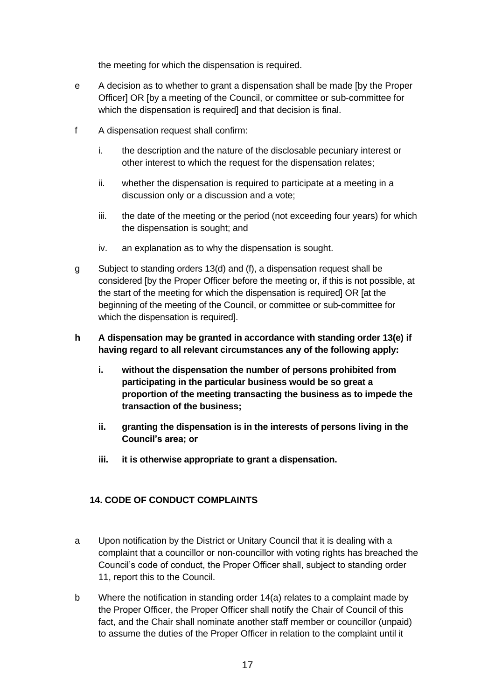the meeting for which the dispensation is required.

- e A decision as to whether to grant a dispensation shall be made [by the Proper Officer] OR [by a meeting of the Council, or committee or sub-committee for which the dispensation is required] and that decision is final.
- f A dispensation request shall confirm:
	- i. the description and the nature of the disclosable pecuniary interest or other interest to which the request for the dispensation relates;
	- ii. whether the dispensation is required to participate at a meeting in a discussion only or a discussion and a vote;
	- iii. the date of the meeting or the period (not exceeding four years) for which the dispensation is sought; and
	- iv. an explanation as to why the dispensation is sought.
- g Subject to standing orders 13(d) and (f), a dispensation request shall be considered [by the Proper Officer before the meeting or, if this is not possible, at the start of the meeting for which the dispensation is required] OR [at the beginning of the meeting of the Council, or committee or sub-committee for which the dispensation is required].
- **h A dispensation may be granted in accordance with standing order 13(e) if having regard to all relevant circumstances any of the following apply:**
	- **i. without the dispensation the number of persons prohibited from participating in the particular business would be so great a proportion of the meeting transacting the business as to impede the transaction of the business;**
	- **ii. granting the dispensation is in the interests of persons living in the Council's area; or**
	- **iii. it is otherwise appropriate to grant a dispensation.**

### **14. CODE OF CONDUCT COMPLAINTS**

- a Upon notification by the District or Unitary Council that it is dealing with a complaint that a councillor or non-councillor with voting rights has breached the Council's code of conduct, the Proper Officer shall, subject to standing order 11, report this to the Council.
- b Where the notification in standing order 14(a) relates to a complaint made by the Proper Officer, the Proper Officer shall notify the Chair of Council of this fact, and the Chair shall nominate another staff member or councillor (unpaid) to assume the duties of the Proper Officer in relation to the complaint until it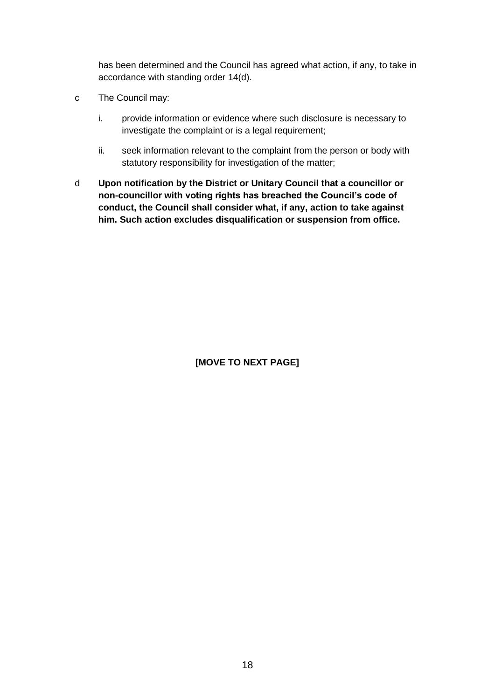has been determined and the Council has agreed what action, if any, to take in accordance with standing order 14(d).

- c The Council may:
	- i. provide information or evidence where such disclosure is necessary to investigate the complaint or is a legal requirement;
	- ii. seek information relevant to the complaint from the person or body with statutory responsibility for investigation of the matter;
- d **Upon notification by the District or Unitary Council that a councillor or non-councillor with voting rights has breached the Council's code of conduct, the Council shall consider what, if any, action to take against him. Such action excludes disqualification or suspension from office.**

**[MOVE TO NEXT PAGE]**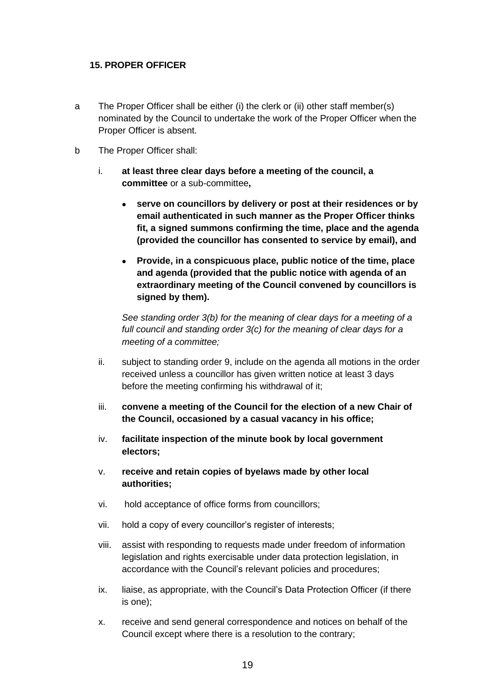### **15. PROPER OFFICER**

- a The Proper Officer shall be either (i) the clerk or (ii) other staff member(s) nominated by the Council to undertake the work of the Proper Officer when the Proper Officer is absent.
- b The Proper Officer shall:
	- i. **at least three clear days before a meeting of the council, a committee** or a sub-committee**,**
		- **serve on councillors by delivery or post at their residences or by email authenticated in such manner as the Proper Officer thinks fit, a signed summons confirming the time, place and the agenda (provided the councillor has consented to service by email), and**
		- **Provide, in a conspicuous place, public notice of the time, place and agenda (provided that the public notice with agenda of an extraordinary meeting of the Council convened by councillors is signed by them).**

*See standing order 3(b) for the meaning of clear days for a meeting of a full council and standing order 3(c) for the meaning of clear days for a meeting of a committee;*

- ii. subject to standing order 9, include on the agenda all motions in the order received unless a councillor has given written notice at least 3 days before the meeting confirming his withdrawal of it;
- iii. **convene a meeting of the Council for the election of a new Chair of the Council, occasioned by a casual vacancy in his office;**
- iv. **facilitate inspection of the minute book by local government electors;**
- v. **receive and retain copies of byelaws made by other local authorities;**
- vi. hold acceptance of office forms from councillors;
- vii. hold a copy of every councillor's register of interests;
- viii. assist with responding to requests made under freedom of information legislation and rights exercisable under data protection legislation, in accordance with the Council's relevant policies and procedures;
- ix. liaise, as appropriate, with the Council's Data Protection Officer (if there is one);
- x. receive and send general correspondence and notices on behalf of the Council except where there is a resolution to the contrary;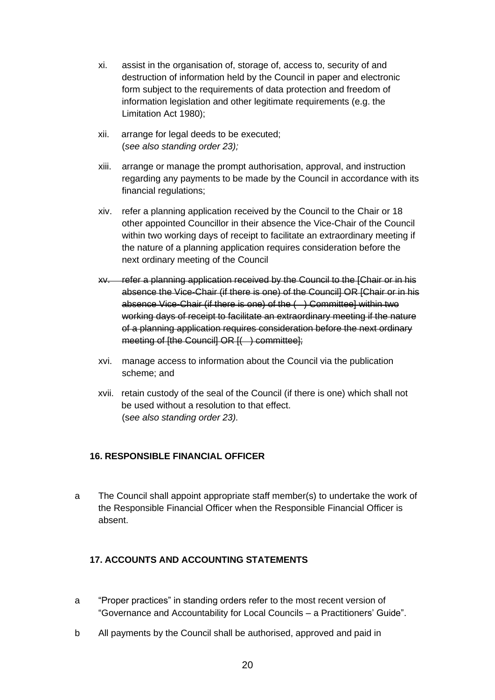- xi. assist in the organisation of, storage of, access to, security of and destruction of information held by the Council in paper and electronic form subject to the requirements of data protection and freedom of information legislation and other legitimate requirements (e.g. the Limitation Act 1980);
- xii. arrange for legal deeds to be executed; (*see also standing order 23);*
- xiii. arrange or manage the prompt authorisation, approval, and instruction regarding any payments to be made by the Council in accordance with its financial regulations;
- xiv. refer a planning application received by the Council to the Chair or 18 other appointed Councillor in their absence the Vice-Chair of the Council within two working days of receipt to facilitate an extraordinary meeting if the nature of a planning application requires consideration before the next ordinary meeting of the Council
- xv. refer a planning application received by the Council to the [Chair or in his absence the Vice-Chair (if there is one) of the Council] OR [Chair or in his absence Vice-Chair (if there is one) of the ( ) Committee] within two working days of receipt to facilitate an extraordinary meeting if the nature of a planning application requires consideration before the next ordinary meeting of [the Council] OR [( ) committee];
- xvi. manage access to information about the Council via the publication scheme; and
- xvii. retain custody of the seal of the Council (if there is one) which shall not be used without a resolution to that effect. (s*ee also standing order 23).*

# **16. RESPONSIBLE FINANCIAL OFFICER**

a The Council shall appoint appropriate staff member(s) to undertake the work of the Responsible Financial Officer when the Responsible Financial Officer is absent.

# **17. ACCOUNTS AND ACCOUNTING STATEMENTS**

- a "Proper practices" in standing orders refer to the most recent version of "Governance and Accountability for Local Councils – a Practitioners' Guide".
- b All payments by the Council shall be authorised, approved and paid in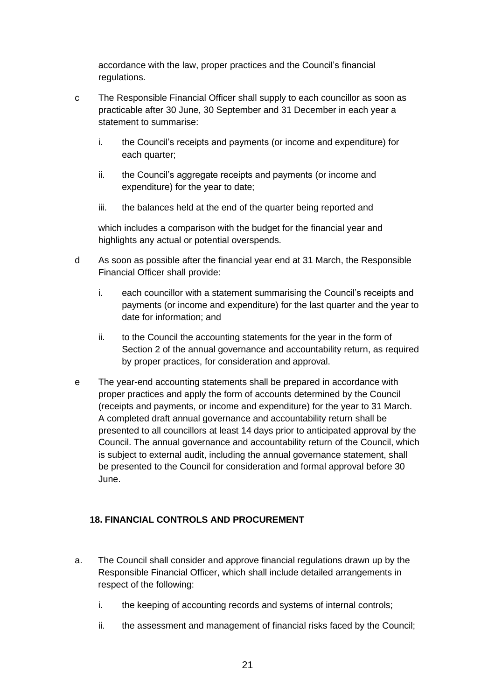accordance with the law, proper practices and the Council's financial regulations.

- c The Responsible Financial Officer shall supply to each councillor as soon as practicable after 30 June, 30 September and 31 December in each year a statement to summarise:
	- i. the Council's receipts and payments (or income and expenditure) for each quarter;
	- ii. the Council's aggregate receipts and payments (or income and expenditure) for the year to date;
	- iii. the balances held at the end of the quarter being reported and

which includes a comparison with the budget for the financial year and highlights any actual or potential overspends.

- d As soon as possible after the financial year end at 31 March, the Responsible Financial Officer shall provide:
	- i. each councillor with a statement summarising the Council's receipts and payments (or income and expenditure) for the last quarter and the year to date for information; and
	- ii. to the Council the accounting statements for the year in the form of Section 2 of the annual governance and accountability return, as required by proper practices, for consideration and approval.
- e The year-end accounting statements shall be prepared in accordance with proper practices and apply the form of accounts determined by the Council (receipts and payments, or income and expenditure) for the year to 31 March. A completed draft annual governance and accountability return shall be presented to all councillors at least 14 days prior to anticipated approval by the Council. The annual governance and accountability return of the Council, which is subject to external audit, including the annual governance statement, shall be presented to the Council for consideration and formal approval before 30 June.

# **18. FINANCIAL CONTROLS AND PROCUREMENT**

- a. The Council shall consider and approve financial regulations drawn up by the Responsible Financial Officer, which shall include detailed arrangements in respect of the following:
	- i. the keeping of accounting records and systems of internal controls;
	- ii. the assessment and management of financial risks faced by the Council;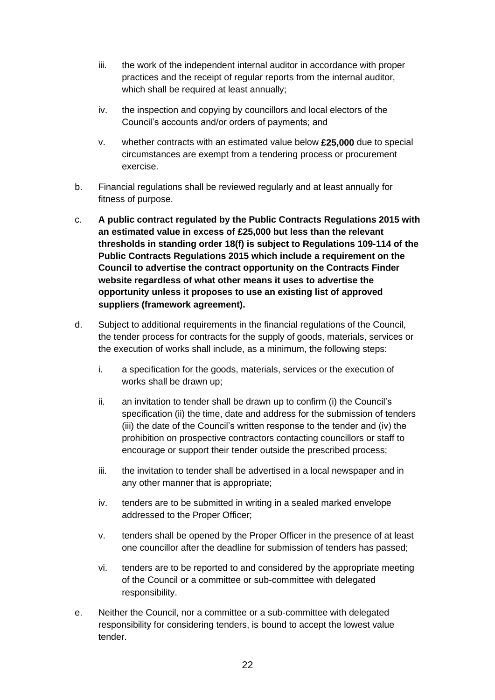- iii. the work of the independent internal auditor in accordance with proper practices and the receipt of regular reports from the internal auditor, which shall be required at least annually;
- iv. the inspection and copying by councillors and local electors of the Council's accounts and/or orders of payments; and
- v. whether contracts with an estimated value below **£25,000** due to special circumstances are exempt from a tendering process or procurement exercise.
- b. Financial regulations shall be reviewed regularly and at least annually for fitness of purpose.
- c. **A public contract regulated by the Public Contracts Regulations 2015 with an estimated value in excess of £25,000 but less than the relevant thresholds in standing order 18(f) is subject to Regulations 109-114 of the Public Contracts Regulations 2015 which include a requirement on the Council to advertise the contract opportunity on the Contracts Finder website regardless of what other means it uses to advertise the opportunity unless it proposes to use an existing list of approved suppliers (framework agreement).**
- d. Subject to additional requirements in the financial regulations of the Council, the tender process for contracts for the supply of goods, materials, services or the execution of works shall include, as a minimum, the following steps:
	- i. a specification for the goods, materials, services or the execution of works shall be drawn up;
	- ii. an invitation to tender shall be drawn up to confirm (i) the Council's specification (ii) the time, date and address for the submission of tenders (iii) the date of the Council's written response to the tender and (iv) the prohibition on prospective contractors contacting councillors or staff to encourage or support their tender outside the prescribed process;
	- iii. the invitation to tender shall be advertised in a local newspaper and in any other manner that is appropriate;
	- iv. tenders are to be submitted in writing in a sealed marked envelope addressed to the Proper Officer;
	- v. tenders shall be opened by the Proper Officer in the presence of at least one councillor after the deadline for submission of tenders has passed;
	- vi. tenders are to be reported to and considered by the appropriate meeting of the Council or a committee or sub-committee with delegated responsibility.
- e. Neither the Council, nor a committee or a sub-committee with delegated responsibility for considering tenders, is bound to accept the lowest value tender.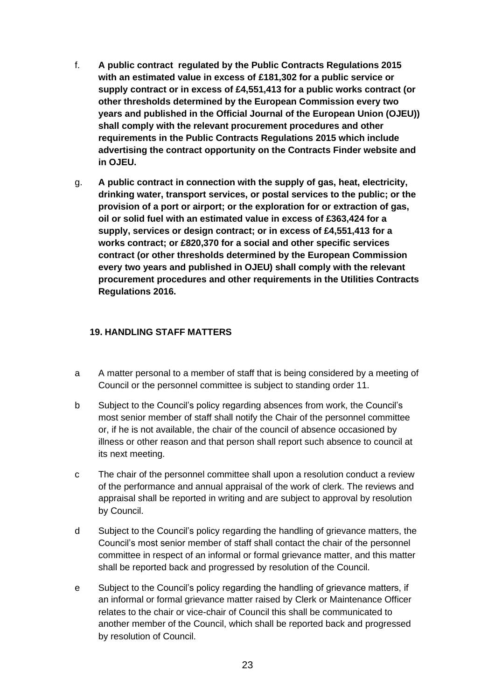- f. **A public contract regulated by the Public Contracts Regulations 2015 with an estimated value in excess of £181,302 for a public service or supply contract or in excess of £4,551,413 for a public works contract (or other thresholds determined by the European Commission every two years and published in the Official Journal of the European Union (OJEU)) shall comply with the relevant procurement procedures and other requirements in the Public Contracts Regulations 2015 which include advertising the contract opportunity on the Contracts Finder website and in OJEU.**
- g. **A public contract in connection with the supply of gas, heat, electricity, drinking water, transport services, or postal services to the public; or the provision of a port or airport; or the exploration for or extraction of gas, oil or solid fuel with an estimated value in excess of £363,424 for a supply, services or design contract; or in excess of £4,551,413 for a works contract; or £820,370 for a social and other specific services contract (or other thresholds determined by the European Commission every two years and published in OJEU) shall comply with the relevant procurement procedures and other requirements in the Utilities Contracts Regulations 2016.**

## **19. HANDLING STAFF MATTERS**

- a A matter personal to a member of staff that is being considered by a meeting of Council or the personnel committee is subject to standing order 11.
- b Subject to the Council's policy regarding absences from work, the Council's most senior member of staff shall notify the Chair of the personnel committee or, if he is not available, the chair of the council of absence occasioned by illness or other reason and that person shall report such absence to council at its next meeting.
- c The chair of the personnel committee shall upon a resolution conduct a review of the performance and annual appraisal of the work of clerk. The reviews and appraisal shall be reported in writing and are subject to approval by resolution by Council.
- d Subject to the Council's policy regarding the handling of grievance matters, the Council's most senior member of staff shall contact the chair of the personnel committee in respect of an informal or formal grievance matter, and this matter shall be reported back and progressed by resolution of the Council.
- e Subject to the Council's policy regarding the handling of grievance matters, if an informal or formal grievance matter raised by Clerk or Maintenance Officer relates to the chair or vice-chair of Council this shall be communicated to another member of the Council, which shall be reported back and progressed by resolution of Council.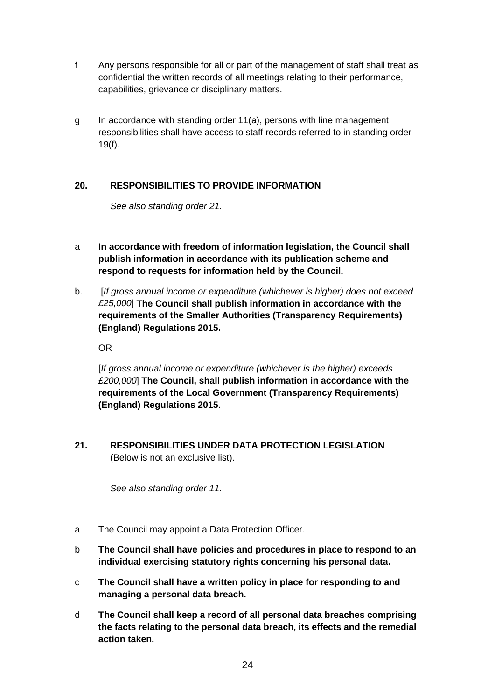- f Any persons responsible for all or part of the management of staff shall treat as confidential the written records of all meetings relating to their performance, capabilities, grievance or disciplinary matters.
- g In accordance with standing order 11(a), persons with line management responsibilities shall have access to staff records referred to in standing order 19(f).

# **20. RESPONSIBILITIES TO PROVIDE INFORMATION**

*See also standing order 21.*

- a **In accordance with freedom of information legislation, the Council shall publish information in accordance with its publication scheme and respond to requests for information held by the Council.**
- b. [*If gross annual income or expenditure (whichever is higher) does not exceed £25,000*] **The Council shall publish information in accordance with the requirements of the Smaller Authorities (Transparency Requirements) (England) Regulations 2015.**

OR

[*If gross annual income or expenditure (whichever is the higher) exceeds £200,000*] **The Council, shall publish information in accordance with the requirements of the Local Government (Transparency Requirements) (England) Regulations 2015**.

**21. RESPONSIBILITIES UNDER DATA PROTECTION LEGISLATION**  (Below is not an exclusive list).

*See also standing order 11.*

- a The Council may appoint a Data Protection Officer.
- b **The Council shall have policies and procedures in place to respond to an individual exercising statutory rights concerning his personal data.**
- c **The Council shall have a written policy in place for responding to and managing a personal data breach.**
- d **The Council shall keep a record of all personal data breaches comprising the facts relating to the personal data breach, its effects and the remedial action taken.**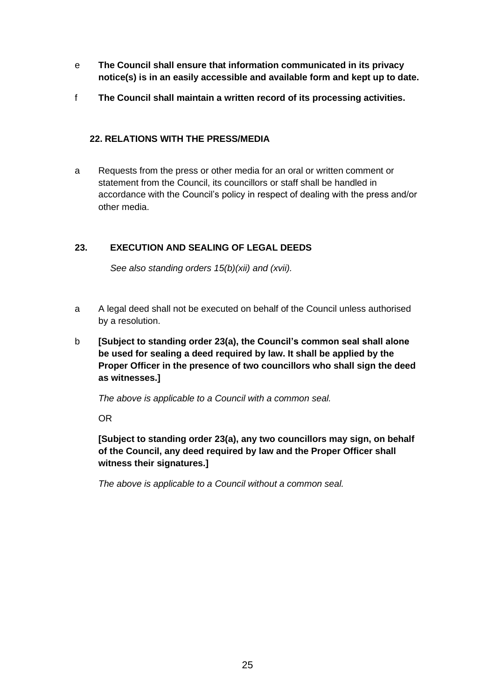- e **The Council shall ensure that information communicated in its privacy notice(s) is in an easily accessible and available form and kept up to date.**
- f **The Council shall maintain a written record of its processing activities.**

## **22. RELATIONS WITH THE PRESS/MEDIA**

a Requests from the press or other media for an oral or written comment or statement from the Council, its councillors or staff shall be handled in accordance with the Council's policy in respect of dealing with the press and/or other media.

# **23. EXECUTION AND SEALING OF LEGAL DEEDS**

*See also standing orders 15(b)(xii) and (xvii).*

- a A legal deed shall not be executed on behalf of the Council unless authorised by a resolution.
- b **[Subject to standing order 23(a), the Council's common seal shall alone be used for sealing a deed required by law. It shall be applied by the Proper Officer in the presence of two councillors who shall sign the deed as witnesses.]**

*The above is applicable to a Council with a common seal.*

OR

**[Subject to standing order 23(a), any two councillors may sign, on behalf of the Council, any deed required by law and the Proper Officer shall witness their signatures.]** 

*The above is applicable to a Council without a common seal.*